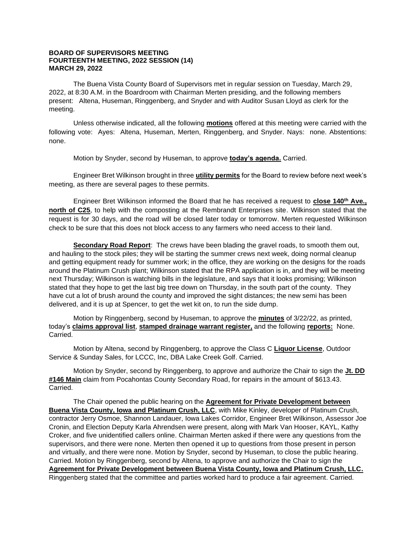## **BOARD OF SUPERVISORS MEETING FOURTEENTH MEETING, 2022 SESSION (14) MARCH 29, 2022**

The Buena Vista County Board of Supervisors met in regular session on Tuesday, March 29, 2022, at 8:30 A.M. in the Boardroom with Chairman Merten presiding, and the following members present: Altena, Huseman, Ringgenberg, and Snyder and with Auditor Susan Lloyd as clerk for the meeting.

Unless otherwise indicated, all the following **motions** offered at this meeting were carried with the following vote: Ayes: Altena, Huseman, Merten, Ringgenberg, and Snyder. Nays: none. Abstentions: none.

Motion by Snyder, second by Huseman, to approve **today's agenda.** Carried.

Engineer Bret Wilkinson brought in three **utility permits** for the Board to review before next week's meeting, as there are several pages to these permits.

Engineer Bret Wilkinson informed the Board that he has received a request to **close 140th Ave., north of C25**, to help with the composting at the Rembrandt Enterprises site. Wilkinson stated that the request is for 30 days, and the road will be closed later today or tomorrow. Merten requested Wilkinson check to be sure that this does not block access to any farmers who need access to their land.

**Secondary Road Report**: The crews have been blading the gravel roads, to smooth them out, and hauling to the stock piles; they will be starting the summer crews next week, doing normal cleanup and getting equipment ready for summer work; in the office, they are working on the designs for the roads around the Platinum Crush plant; Wilkinson stated that the RPA application is in, and they will be meeting next Thursday; Wilkinson is watching bills in the legislature, and says that it looks promising; Wilkinson stated that they hope to get the last big tree down on Thursday, in the south part of the county. They have cut a lot of brush around the county and improved the sight distances; the new semi has been delivered, and it is up at Spencer, to get the wet kit on, to run the side dump.

Motion by Ringgenberg, second by Huseman, to approve the **minutes** of 3/22/22, as printed, today's **claims approval list**, **stamped drainage warrant register,** and the following **reports:** None. Carried.

Motion by Altena, second by Ringgenberg, to approve the Class C **Liquor License**, Outdoor Service & Sunday Sales, for LCCC, Inc, DBA Lake Creek Golf. Carried.

Motion by Snyder, second by Ringgenberg, to approve and authorize the Chair to sign the **Jt. DD #146 Main** claim from Pocahontas County Secondary Road, for repairs in the amount of \$613.43. Carried.

The Chair opened the public hearing on the **Agreement for Private Development between Buena Vista County, Iowa and Platinum Crush, LLC**, with Mike Kinley, developer of Platinum Crush, contractor Jerry Osmoe, Shannon Landauer, Iowa Lakes Corridor, Engineer Bret Wilkinson, Assessor Joe Cronin, and Election Deputy Karla Ahrendsen were present, along with Mark Van Hooser, KAYL, Kathy Croker, and five unidentified callers online. Chairman Merten asked if there were any questions from the supervisors, and there were none. Merten then opened it up to questions from those present in person and virtually, and there were none. Motion by Snyder, second by Huseman, to close the public hearing. Carried. Motion by Ringgenberg, second by Altena, to approve and authorize the Chair to sign the **Agreement for Private Development between Buena Vista County, Iowa and Platinum Crush, LLC.** Ringgenberg stated that the committee and parties worked hard to produce a fair agreement. Carried.